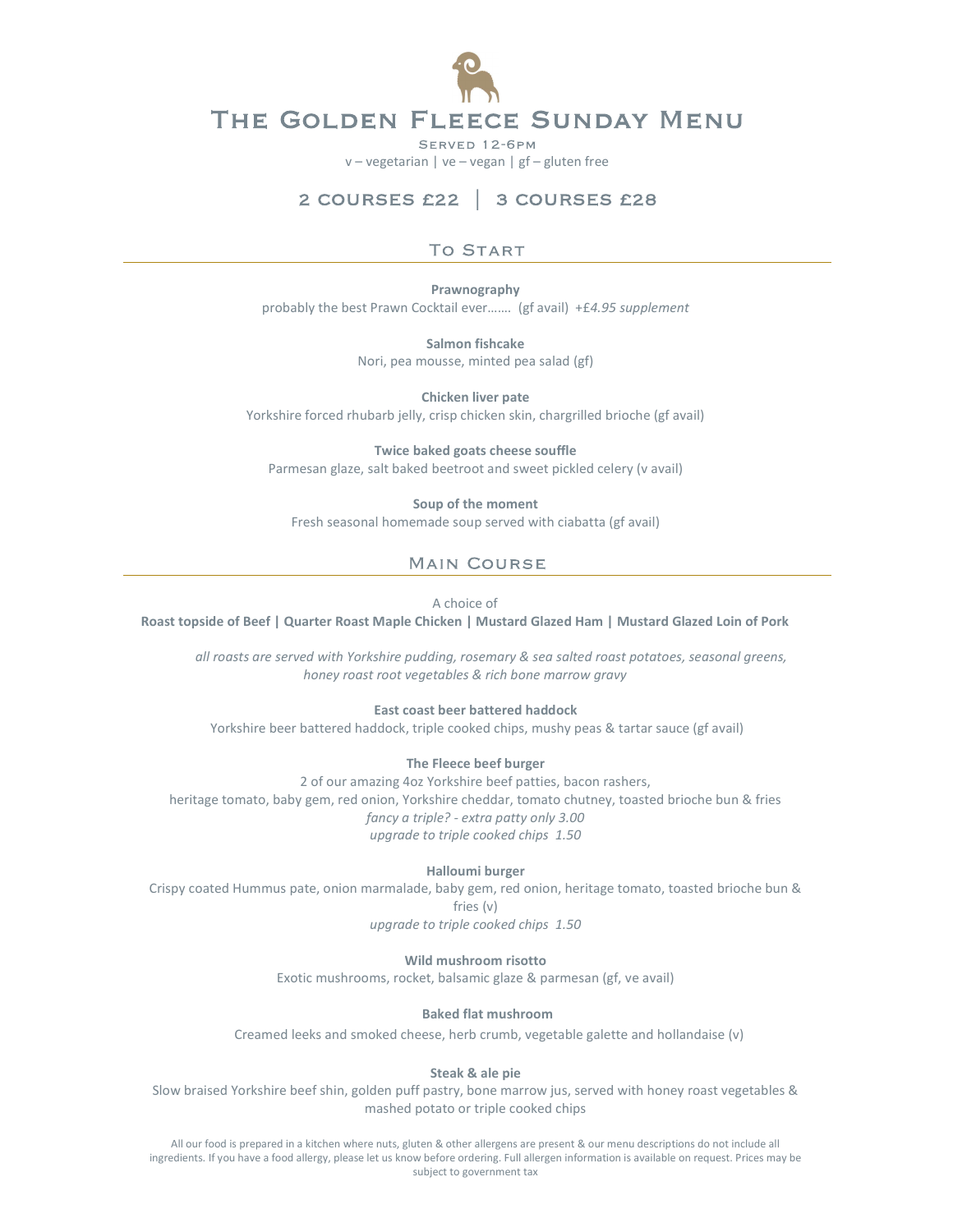

SERVED 12-6PM

v – vegetarian | ve – vegan | gf – gluten free

# 2 COURSES £22 | 3 COURSES £28

### **TO START**

Prawnography probably the best Prawn Cocktail ever……. (gf avail) +£4.95 supplement

> Salmon fishcake Nori, pea mousse, minted pea salad (gf)

Chicken liver pate Yorkshire forced rhubarb jelly, crisp chicken skin, chargrilled brioche (gf avail)

Twice baked goats cheese souffle Parmesan glaze, salt baked beetroot and sweet pickled celery (v avail)

Soup of the moment Fresh seasonal homemade soup served with ciabatta (gf avail)

## **MAIN COURSE**

A choice of

Roast topside of Beef | Quarter Roast Maple Chicken | Mustard Glazed Ham | Mustard Glazed Loin of Pork

all roasts are served with Yorkshire pudding, rosemary & sea salted roast potatoes, seasonal greens, honey roast root vegetables & rich bone marrow gravy

### East coast beer battered haddock

Yorkshire beer battered haddock, triple cooked chips, mushy peas & tartar sauce (gf avail)

#### The Fleece beef burger

2 of our amazing 4oz Yorkshire beef patties, bacon rashers, heritage tomato, baby gem, red onion, Yorkshire cheddar, tomato chutney, toasted brioche bun & fries fancy a triple? - extra patty only 3.00 upgrade to triple cooked chips 1.50

Halloumi burger

Crispy coated Hummus pate, onion marmalade, baby gem, red onion, heritage tomato, toasted brioche bun & fries (v) upgrade to triple cooked chips 1.50

Wild mushroom risotto Exotic mushrooms, rocket, balsamic glaze & parmesan (gf, ve avail)

#### Baked flat mushroom

Creamed leeks and smoked cheese, herb crumb, vegetable galette and hollandaise (v)

Steak & ale pie

Slow braised Yorkshire beef shin, golden puff pastry, bone marrow jus, served with honey roast vegetables & mashed potato or triple cooked chips

All our food is prepared in a kitchen where nuts, gluten & other allergens are present & our menu descriptions do not include all ingredients. If you have a food allergy, please let us know before ordering. Full allergen information is available on request. Prices may be subject to government tax